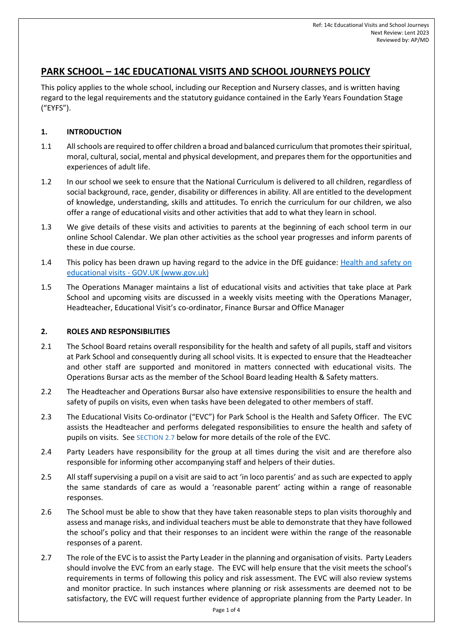# **PARK SCHOOL – 14C EDUCATIONAL VISITS AND SCHOOL JOURNEYS POLICY**

This policy applies to the whole school, including our Reception and Nursery classes, and is written having regard to the legal requirements and the statutory guidance contained in the Early Years Foundation Stage ("EYFS").

# **1. INTRODUCTION**

- 1.1 All schools are required to offer children a broad and balanced curriculum that promotes their spiritual, moral, cultural, social, mental and physical development, and prepares them for the opportunities and experiences of adult life.
- 1.2 In our school we seek to ensure that the National Curriculum is delivered to all children, regardless of social background, race, gender, disability or differences in ability. All are entitled to the development of knowledge, understanding, skills and attitudes. To enrich the curriculum for our children, we also offer a range of educational visits and other activities that add to what they learn in school.
- 1.3 We give details of these visits and activities to parents at the beginning of each school term in our online School Calendar. We plan other activities as the school year progresses and inform parents of these in due course.
- <span id="page-0-1"></span>1.4 This policy has been drawn up having regard to the advice in the DfE guidance: Health and safety on educational visits - GOV.UK (www.gov.uk)
- 1.5 The Operations Manager maintains a list of educational visits and activities that take place at Park School and upcoming visits are discussed in a weekly visits meeting with the Operations Manager, Headteacher, Educational Visit's co-ordinator, Finance Bursar and Office Manager

## **2. ROLES AND RESPONSIBILITIES**

- 2.1 The School Board retains overall responsibility for the health and safety of all pupils, staff and visitors at Park School and consequently during all school visits. It is expected to ensure that the Headteacher and other staff are supported and monitored in matters connected with educational visits. The Operations Bursar acts as the member of the School Board leading Health & Safety matters.
- 2.2 The Headteacher and Operations Bursar also have extensive responsibilities to ensure the health and safety of pupils on visits, even when tasks have been delegated to other members of staff.
- 2.3 The Educational Visits Co-ordinator ("EVC") for Park School is the Health and Safety Officer. The EVC assists the Headteacher and performs delegated responsibilities to ensure the health and safety of pupils on visits. See SECTION [2.7](#page-0-0) below for more details of the role of the EVC.
- 2.4 Party Leaders have responsibility for the group at all times during the visit and are therefore also responsible for informing other accompanying staff and helpers of their duties.
- 2.5 All staff supervising a pupil on a visit are said to act 'in loco parentis' and as such are expected to apply the same standards of care as would a 'reasonable parent' acting within a range of reasonable responses.
- 2.6 The School must be able to show that they have taken reasonable steps to plan visits thoroughly and assess and manage risks, and individual teachers must be able to demonstrate that they have followed the school's policy and that their responses to an incident were within the range of the reasonable responses of a parent.
- <span id="page-0-0"></span>2.7 The role of the EVC is to assist the Party Leader in the planning and organisation of visits. Party Leaders should involve the EVC from an early stage. The EVC will help ensure that the visit meets the school's requirements in terms of following this policy and risk assessment. The EVC will also review systems and monitor practice. In such instances where planning or risk assessments are deemed not to be satisfactory, the EVC will request further evidence of appropriate planning from the Party Leader. In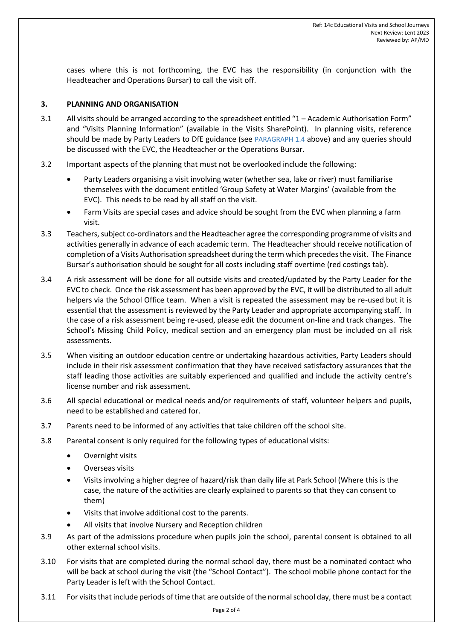cases where this is not forthcoming, the EVC has the responsibility (in conjunction with the Headteacher and Operations Bursar) to call the visit off.

### **3. PLANNING AND ORGANISATION**

- 3.1 All visits should be arranged according to the spreadsheet entitled "1 Academic Authorisation Form" and "Visits Planning Information" (available in the Visits SharePoint). In planning visits, reference should be made by Party Leaders to DfE guidance (see PARAGRAPH [1.4](#page-0-1) above) and any queries should be discussed with the EVC, the Headteacher or the Operations Bursar.
- 3.2 Important aspects of the planning that must not be overlooked include the following:
	- Party Leaders organising a visit involving water (whether sea, lake or river) must familiarise themselves with the document entitled 'Group Safety at Water Margins' (available from the EVC). This needs to be read by all staff on the visit.
	- Farm Visits are special cases and advice should be sought from the EVC when planning a farm visit.
- 3.3 Teachers, subject co-ordinators and the Headteacher agree the corresponding programme of visits and activities generally in advance of each academic term. The Headteacher should receive notification of completion of a Visits Authorisation spreadsheet during the term which precedes the visit. The Finance Bursar's authorisation should be sought for all costs including staff overtime (red costings tab).
- 3.4 A risk assessment will be done for all outside visits and created/updated by the Party Leader for the EVC to check. Once the risk assessment has been approved by the EVC, it will be distributed to all adult helpers via the School Office team. When a visit is repeated the assessment may be re-used but it is essential that the assessment is reviewed by the Party Leader and appropriate accompanying staff. In the case of a risk assessment being re-used, please edit the document on-line and track changes. The School's Missing Child Policy, medical section and an emergency plan must be included on all risk assessments.
- 3.5 When visiting an outdoor education centre or undertaking hazardous activities, Party Leaders should include in their risk assessment confirmation that they have received satisfactory assurances that the staff leading those activities are suitably experienced and qualified and include the activity centre's license number and risk assessment.
- 3.6 All special educational or medical needs and/or requirements of staff, volunteer helpers and pupils, need to be established and catered for.
- 3.7 Parents need to be informed of any activities that take children off the school site.
- 3.8 Parental consent is only required for the following types of educational visits:
	- Overnight visits
	- Overseas visits
	- Visits involving a higher degree of hazard/risk than daily life at Park School (Where this is the case, the nature of the activities are clearly explained to parents so that they can consent to them)
	- Visits that involve additional cost to the parents.
	- All visits that involve Nursery and Reception children
- 3.9 As part of the admissions procedure when pupils join the school, parental consent is obtained to all other external school visits.
- 3.10 For visits that are completed during the normal school day, there must be a nominated contact who will be back at school during the visit (the "School Contact"). The school mobile phone contact for the Party Leader is left with the School Contact.
- 3.11 For visits that include periods of time that are outside of the normal school day, there must be a contact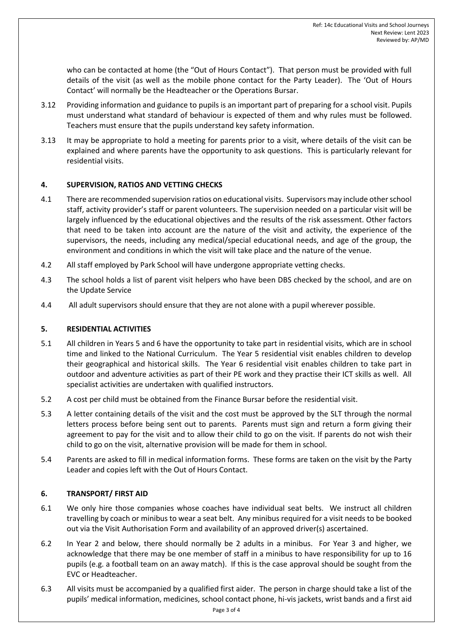who can be contacted at home (the "Out of Hours Contact"). That person must be provided with full details of the visit (as well as the mobile phone contact for the Party Leader). The 'Out of Hours Contact' will normally be the Headteacher or the Operations Bursar.

- 3.12 Providing information and guidance to pupils is an important part of preparing for a school visit. Pupils must understand what standard of behaviour is expected of them and why rules must be followed. Teachers must ensure that the pupils understand key safety information.
- 3.13 It may be appropriate to hold a meeting for parents prior to a visit, where details of the visit can be explained and where parents have the opportunity to ask questions. This is particularly relevant for residential visits.

## **4. SUPERVISION, RATIOS AND VETTING CHECKS**

- 4.1 There are recommended supervision ratios on educational visits. Supervisors may include other school staff, activity provider's staff or parent volunteers. The supervision needed on a particular visit will be largely influenced by the educational objectives and the results of the risk assessment. Other factors that need to be taken into account are the nature of the visit and activity, the experience of the supervisors, the needs, including any medical/special educational needs, and age of the group, the environment and conditions in which the visit will take place and the nature of the venue.
- 4.2 All staff employed by Park School will have undergone appropriate vetting checks.
- 4.3 The school holds a list of parent visit helpers who have been DBS checked by the school, and are on the Update Service
- 4.4 All adult supervisors should ensure that they are not alone with a pupil wherever possible.

## **5. RESIDENTIAL ACTIVITIES**

- 5.1 All children in Years 5 and 6 have the opportunity to take part in residential visits, which are in school time and linked to the National Curriculum. The Year 5 residential visit enables children to develop their geographical and historical skills. The Year 6 residential visit enables children to take part in outdoor and adventure activities as part of their PE work and they practise their ICT skills as well. All specialist activities are undertaken with qualified instructors.
- 5.2 A cost per child must be obtained from the Finance Bursar before the residential visit.
- 5.3 A letter containing details of the visit and the cost must be approved by the SLT through the normal letters process before being sent out to parents. Parents must sign and return a form giving their agreement to pay for the visit and to allow their child to go on the visit. If parents do not wish their child to go on the visit, alternative provision will be made for them in school.
- 5.4 Parents are asked to fill in medical information forms. These forms are taken on the visit by the Party Leader and copies left with the Out of Hours Contact.

## **6. TRANSPORT/ FIRST AID**

- 6.1 We only hire those companies whose coaches have individual seat belts. We instruct all children travelling by coach or minibus to wear a seat belt. Any minibus required for a visit needs to be booked out via the Visit Authorisation Form and availability of an approved driver(s) ascertained.
- 6.2 In Year 2 and below, there should normally be 2 adults in a minibus. For Year 3 and higher, we acknowledge that there may be one member of staff in a minibus to have responsibility for up to 16 pupils (e.g. a football team on an away match). If this is the case approval should be sought from the EVC or Headteacher.
- 6.3 All visits must be accompanied by a qualified first aider. The person in charge should take a list of the pupils' medical information, medicines, school contact phone, hi-vis jackets, wrist bands and a first aid